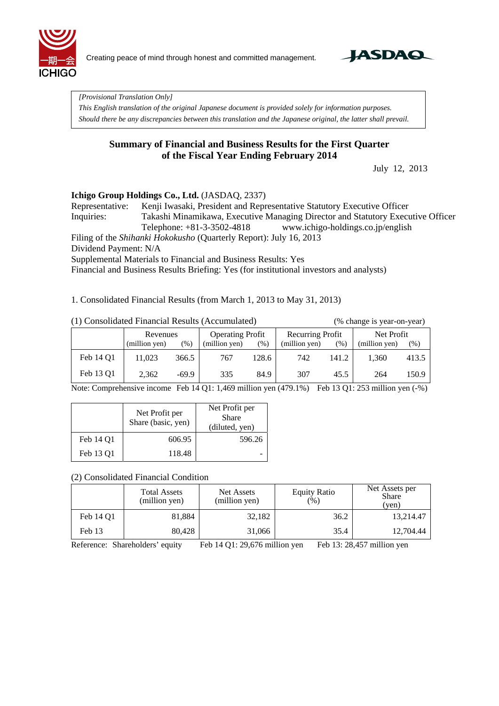

Creating peace of mind through honest and committed management.



*[Provisional Translation Only]* 

*This English translation of the original Japanese document is provided solely for information purposes. Should there be any discrepancies between this translation and the Japanese original, the latter shall prevail.*

### **Summary of Financial and Business Results for the First Quarter of the Fiscal Year Ending February 2014**

July 12, 2013

#### **Ichigo Group Holdings Co., Ltd.** (JASDAQ, 2337)

Representative: Kenji Iwasaki, President and Representative Statutory Executive Officer Inquiries: Takashi Minamikawa, Executive Managing Director and Statutory Executive Officer Telephone: +81-3-3502-4818 www.ichigo-holdings.co.jp/english

Filing of the *Shihanki Hokokusho* (Quarterly Report): July 16, 2013 Dividend Payment: N/A Supplemental Materials to Financial and Business Results: Yes

Financial and Business Results Briefing: Yes (for institutional investors and analysts)

1. Consolidated Financial Results (from March 1, 2013 to May 31, 2013)

|  |  | (1) Consolidated Financial Results (Accumulated) |  |
|--|--|--------------------------------------------------|--|

(% change is year-on-year)

|           | Revenues      |         | <b>Operating Profit</b> |       | Recurring Profit |       | Net Profit    |        |
|-----------|---------------|---------|-------------------------|-------|------------------|-------|---------------|--------|
|           | (million yen) | $(\%)$  | (million yen)           | (%)   | (million yen)    | (96)  | (million yen) | $(\%)$ |
| Feb 14 Q1 | 11.023        | 366.5   | 767                     | 128.6 | 742              | 141.2 | 1,360         | 413.5  |
| Feb 13 Q1 | 2,362         | $-69.9$ | 335                     | 84.9  | 307              | 45.5  | 264           | 150.9  |

Note: Comprehensive income Feb 14 Q1: 1,469 million yen (479.1%) Feb 13 Q1: 253 million yen (-%)

|           | Net Profit per<br>Share (basic, yen) | Net Profit per<br>Share<br>(diluted, yen) |
|-----------|--------------------------------------|-------------------------------------------|
| Feb 14 O1 | 606.95                               | 596.26                                    |
| Feb 13 O1 | 118.48                               |                                           |

(2) Consolidated Financial Condition

|           | <b>Total Assets</b><br>(million yen) | Net Assets<br>(million yen) | <b>Equity Ratio</b><br>(%) | Net Assets per<br><b>Share</b><br>(ven) |
|-----------|--------------------------------------|-----------------------------|----------------------------|-----------------------------------------|
| Feb 14 O1 | 81,884                               | 32,182                      | 36.2                       | 13,214.47                               |
| Feb 13    | 80.428                               | 31,066                      | 35.4                       | 12.704.44                               |

Reference: Shareholders' equity Feb 14 Q1: 29,676 million yen Feb 13: 28,457 million yen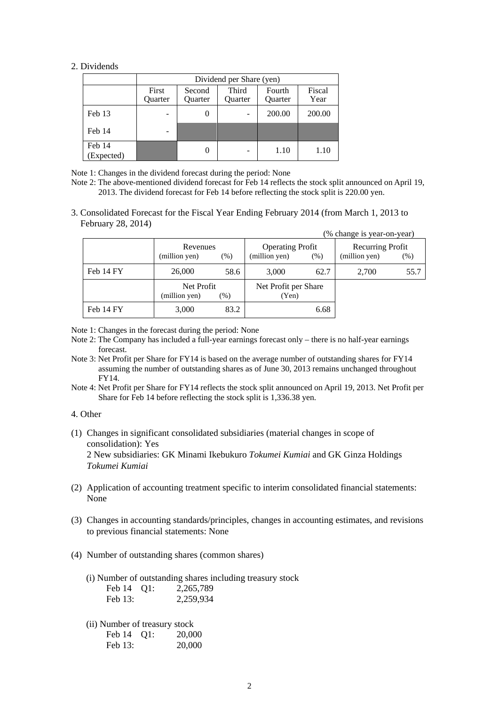#### 2. Dividends

|                      | Dividend per Share (yen)                                                                                              |          |  |        |        |  |
|----------------------|-----------------------------------------------------------------------------------------------------------------------|----------|--|--------|--------|--|
|                      | Third<br>Fiscal<br>First<br>Fourth<br>Second<br>Year<br>Ouarter<br><b>Ouarter</b><br><b>Ouarter</b><br><b>Ouarter</b> |          |  |        |        |  |
| Feb 13               |                                                                                                                       | $\theta$ |  | 200.00 | 200.00 |  |
| Feb 14               |                                                                                                                       |          |  |        |        |  |
| Feb 14<br>(Expected) |                                                                                                                       | $\theta$ |  | 1.10   | 1.10   |  |

Note 1: Changes in the dividend forecast during the period: None

- Note 2: The above-mentioned dividend forecast for Feb 14 reflects the stock split announced on April 19, 2013. The dividend forecast for Feb 14 before reflecting the stock split is 220.00 yen.
- 3. Consolidated Forecast for the Fiscal Year Ending February 2014 (from March 1, 2013 to February 28, 2014)

|           |                             |        |                                          |      | (% change is year-on-year)        |      |
|-----------|-----------------------------|--------|------------------------------------------|------|-----------------------------------|------|
|           | Revenues<br>(million yen)   | $(\%)$ | <b>Operating Profit</b><br>(million yen) | (% ) | Recurring Profit<br>(million yen) | (% ) |
| Feb 14 FY | 26,000                      | 58.6   | 3,000                                    | 62.7 | 2,700                             | 55.7 |
|           | Net Profit<br>(million yen) | (% )   | Net Profit per Share<br>(Yen)            |      |                                   |      |
| Feb 14 FY | 3,000                       | 83.2   |                                          | 6.68 |                                   |      |

Note 1: Changes in the forecast during the period: None

- Note 2: The Company has included a full-year earnings forecast only there is no half-year earnings forecast.
- Note 3: Net Profit per Share for FY14 is based on the average number of outstanding shares for FY14 assuming the number of outstanding shares as of June 30, 2013 remains unchanged throughout FY14.
- Note 4: Net Profit per Share for FY14 reflects the stock split announced on April 19, 2013. Net Profit per Share for Feb 14 before reflecting the stock split is 1,336.38 yen.

#### 4. Other

- (1) Changes in significant consolidated subsidiaries (material changes in scope of consolidation): Yes 2 New subsidiaries: GK Minami Ikebukuro *Tokumei Kumiai* and GK Ginza Holdings *Tokumei Kumiai*
- (2) Application of accounting treatment specific to interim consolidated financial statements: None
- (3) Changes in accounting standards/principles, changes in accounting estimates, and revisions to previous financial statements: None
- (4) Number of outstanding shares (common shares)
	- (i) Number of outstanding shares including treasury stock

| Feb 14 Q1: | 2,265,789 |
|------------|-----------|
| Feb 13:    | 2,259,934 |

(ii) Number of treasury stock

| Feb 14  | Q1: | 20,000 |
|---------|-----|--------|
| Feb 13: |     | 20,000 |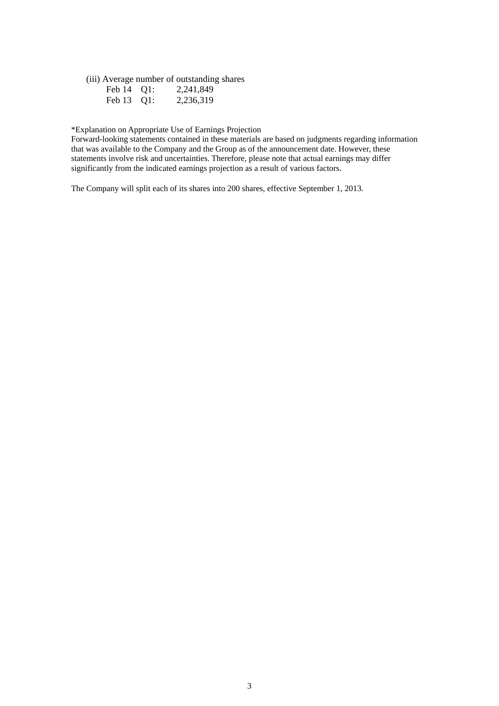(iii) Average number of outstanding shares

| Feb 14 Q1: | 2,241,849 |
|------------|-----------|
| Feb 13 Q1: | 2,236,319 |

\*Explanation on Appropriate Use of Earnings Projection

Forward-looking statements contained in these materials are based on judgments regarding information that was available to the Company and the Group as of the announcement date. However, these statements involve risk and uncertainties. Therefore, please note that actual earnings may differ significantly from the indicated earnings projection as a result of various factors.

The Company will split each of its shares into 200 shares, effective September 1, 2013.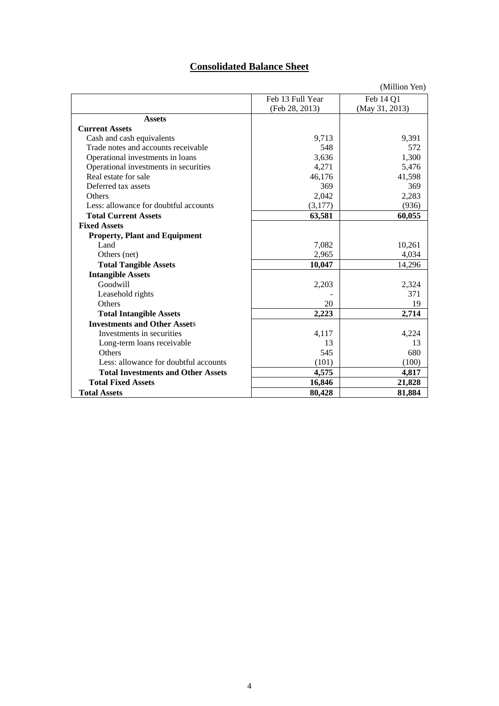## **Consolidated Balance Sheet**

|                                           |                  | (Million Yen)  |
|-------------------------------------------|------------------|----------------|
|                                           | Feb 13 Full Year | Feb 14 Q1      |
|                                           | (Feb 28, 2013)   | (May 31, 2013) |
| <b>Assets</b>                             |                  |                |
| <b>Current Assets</b>                     |                  |                |
| Cash and cash equivalents                 | 9,713            | 9,391          |
| Trade notes and accounts receivable       | 548              | 572            |
| Operational investments in loans          | 3,636            | 1,300          |
| Operational investments in securities     | 4,271            | 5,476          |
| Real estate for sale                      | 46,176           | 41,598         |
| Deferred tax assets                       | 369              | 369            |
| <b>Others</b>                             | 2,042            | 2,283          |
| Less: allowance for doubtful accounts     | (3,177)          | (936)          |
| <b>Total Current Assets</b>               | 63,581           | 60,055         |
| <b>Fixed Assets</b>                       |                  |                |
| <b>Property, Plant and Equipment</b>      |                  |                |
| Land                                      | 7,082            | 10,261         |
| Others (net)                              | 2,965            | 4,034          |
| <b>Total Tangible Assets</b>              | 10,047           | 14,296         |
| <b>Intangible Assets</b>                  |                  |                |
| Goodwill                                  | 2,203            | 2,324          |
| Leasehold rights                          |                  | 371            |
| Others                                    | 20               | 19             |
| <b>Total Intangible Assets</b>            | 2,223            | 2,714          |
| <b>Investments and Other Assets</b>       |                  |                |
| Investments in securities                 | 4,117            | 4,224          |
| Long-term loans receivable                | 13               | 13             |
| Others                                    | 545              | 680            |
| Less: allowance for doubtful accounts     | (101)            | (100)          |
| <b>Total Investments and Other Assets</b> | 4,575            | 4,817          |
| <b>Total Fixed Assets</b>                 | 16,846           | 21,828         |
| <b>Total Assets</b>                       | 80,428           | 81,884         |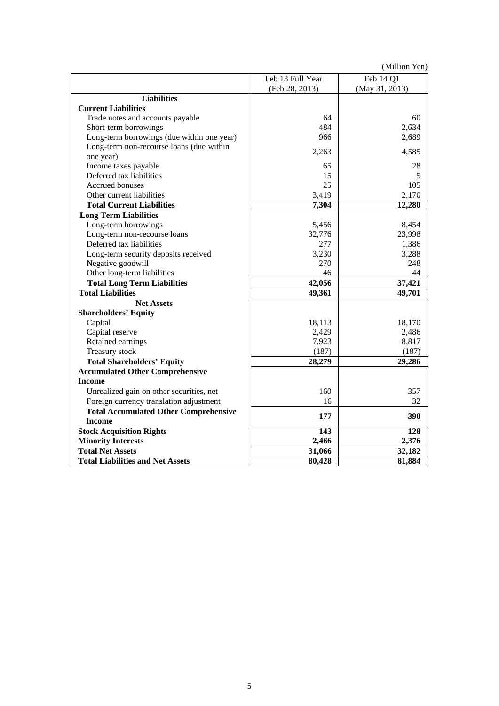(Million Yen)

|                                              | Feb 13 Full Year | Feb 14 Q1      |
|----------------------------------------------|------------------|----------------|
|                                              | (Feb 28, 2013)   | (May 31, 2013) |
| <b>Liabilities</b>                           |                  |                |
| <b>Current Liabilities</b>                   |                  |                |
| Trade notes and accounts payable             | 64               | 60             |
| Short-term borrowings                        | 484              | 2,634          |
| Long-term borrowings (due within one year)   | 966              | 2,689          |
| Long-term non-recourse loans (due within     | 2,263            | 4,585          |
| one year)                                    |                  |                |
| Income taxes payable                         | 65               | 28             |
| Deferred tax liabilities                     | 15               | 5              |
| Accrued bonuses                              | 25               | 105            |
| Other current liabilities                    | 3,419            | 2,170          |
| <b>Total Current Liabilities</b>             | 7,304            | 12,280         |
| <b>Long Term Liabilities</b>                 |                  |                |
| Long-term borrowings                         | 5,456            | 8,454          |
| Long-term non-recourse loans                 | 32,776           | 23,998         |
| Deferred tax liabilities                     | 277              | 1,386          |
| Long-term security deposits received         | 3,230            | 3,288          |
| Negative goodwill                            | 270              | 248            |
| Other long-term liabilities                  | 46               | 44             |
| <b>Total Long Term Liabilities</b>           | 42,056           | 37,421         |
| <b>Total Liabilities</b>                     | 49,361           | 49,701         |
| <b>Net Assets</b>                            |                  |                |
| <b>Shareholders' Equity</b>                  |                  |                |
| Capital                                      | 18,113           | 18,170         |
| Capital reserve                              | 2,429            | 2,486          |
| Retained earnings                            | 7,923            | 8,817          |
| Treasury stock                               | (187)            | (187)          |
| <b>Total Shareholders' Equity</b>            | 28,279           | 29,286         |
| <b>Accumulated Other Comprehensive</b>       |                  |                |
| <b>Income</b>                                |                  |                |
| Unrealized gain on other securities, net     | 160              | 357            |
| Foreign currency translation adjustment      | 16               | 32             |
| <b>Total Accumulated Other Comprehensive</b> |                  |                |
| <b>Income</b>                                | 177              | 390            |
| <b>Stock Acquisition Rights</b>              | 143              | 128            |
| <b>Minority Interests</b>                    | 2,466            | 2,376          |
| <b>Total Net Assets</b>                      | 31,066           | 32,182         |
| <b>Total Liabilities and Net Assets</b>      | 80,428           | 81,884         |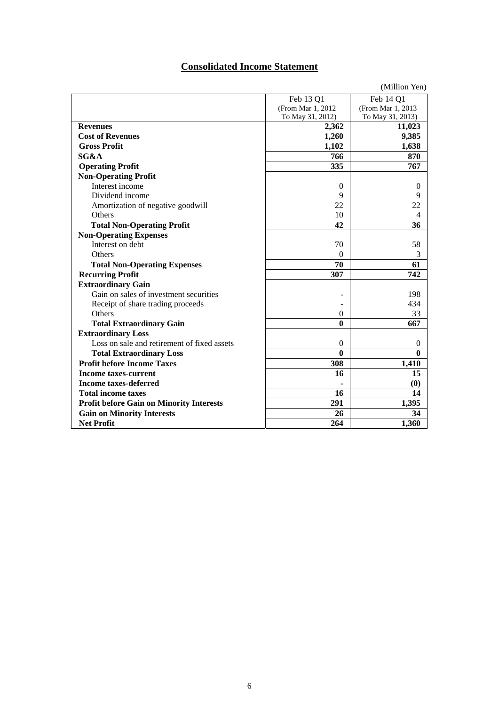## **Consolidated Income Statement**

|                                                 |                    | (Million Yen)                 |
|-------------------------------------------------|--------------------|-------------------------------|
|                                                 | Feb 13 Q1          | Feb 14 Q1                     |
|                                                 | (From Mar 1, 2012) | (From Mar 1, 2013)            |
|                                                 | To May 31, 2012)   | To May 31, 2013)              |
| <b>Revenues</b>                                 | 2,362              | 11,023                        |
| <b>Cost of Revenues</b>                         | 1,260              | 9,385                         |
| <b>Gross Profit</b>                             | 1,102              | 1,638                         |
| SG&A                                            | 766                | 870                           |
| <b>Operating Profit</b>                         | 335                | 767                           |
| <b>Non-Operating Profit</b>                     |                    |                               |
| Interest income                                 | $\overline{0}$     | $\Omega$                      |
| Dividend income                                 | 9                  | 9                             |
| Amortization of negative goodwill               | 22                 | 22                            |
| Others                                          | 10                 | $\overline{4}$                |
| <b>Total Non-Operating Profit</b>               | 42                 | 36                            |
| <b>Non-Operating Expenses</b>                   |                    |                               |
| Interest on debt                                | 70                 | 58                            |
| Others                                          | $\theta$           | 3                             |
| <b>Total Non-Operating Expenses</b>             | 70                 | 61                            |
| <b>Recurring Profit</b>                         | 307                | 742                           |
| <b>Extraordinary Gain</b>                       |                    |                               |
| Gain on sales of investment securities          |                    | 198                           |
| Receipt of share trading proceeds               |                    | 434                           |
| <b>Others</b>                                   | $\mathbf{0}$       | 33                            |
| <b>Total Extraordinary Gain</b>                 | $\bf{0}$           | 667                           |
| <b>Extraordinary Loss</b>                       |                    |                               |
| Loss on sale and retirement of fixed assets     | $\mathbf{0}$       | $\overline{0}$                |
| <b>Total Extraordinary Loss</b>                 | $\bf{0}$           | $\mathbf{0}$                  |
| <b>Profit before Income Taxes</b>               | 308                | 1,410                         |
| <b>Income taxes-current</b>                     | 16                 | 15                            |
| <b>Income taxes-deferred</b>                    |                    | $\boldsymbol{\left(0\right)}$ |
| <b>Total income taxes</b>                       | 16                 | 14                            |
| <b>Profit before Gain on Minority Interests</b> | 291                | 1,395                         |
| <b>Gain on Minority Interests</b>               | 26                 | 34                            |
| <b>Net Profit</b>                               | 264                | 1,360                         |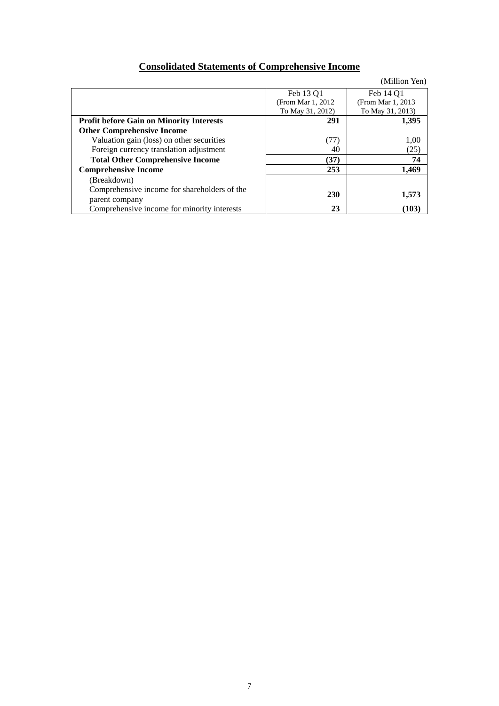# **Consolidated Statements of Comprehensive Income**

|                                                 |                    | (Million Yen)      |
|-------------------------------------------------|--------------------|--------------------|
|                                                 | Feb 13 Q1          | Feb 14 Q1          |
|                                                 | (From Mar 1, 2012) | (From Mar 1, 2013) |
|                                                 | To May 31, 2012)   | To May 31, 2013)   |
| <b>Profit before Gain on Minority Interests</b> | 291                | 1,395              |
| <b>Other Comprehensive Income</b>               |                    |                    |
| Valuation gain (loss) on other securities       | (77)               | 1,00               |
| Foreign currency translation adjustment         | 40                 | (25)               |
| <b>Total Other Comprehensive Income</b>         | (37)               | 74                 |
| <b>Comprehensive Income</b>                     | 253                | 1.469              |
| (Breakdown)                                     |                    |                    |
| Comprehensive income for shareholders of the    | <b>230</b>         |                    |
| parent company                                  |                    | 1,573              |
| Comprehensive income for minority interests     | 23                 | (103)              |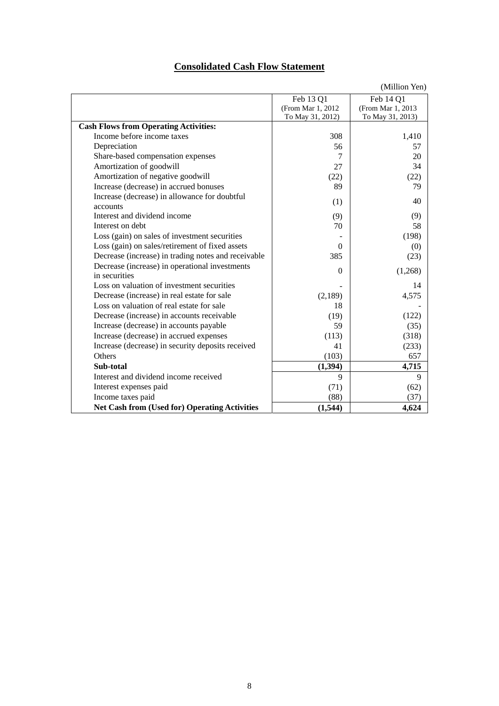## **Consolidated Cash Flow Statement**

|                                                           |                    | (Million Yen)      |
|-----------------------------------------------------------|--------------------|--------------------|
|                                                           | Feb 13 Q1          | Feb 14 Q1          |
|                                                           | (From Mar 1, 2012) | (From Mar 1, 2013) |
|                                                           | To May 31, 2012)   | To May 31, 2013)   |
| <b>Cash Flows from Operating Activities:</b>              |                    |                    |
| Income before income taxes                                | 308                | 1,410              |
| Depreciation                                              | 56                 | 57                 |
| Share-based compensation expenses                         | $\tau$             | 20                 |
| Amortization of goodwill                                  | 27                 | 34                 |
| Amortization of negative goodwill                         | (22)               | (22)               |
| Increase (decrease) in accrued bonuses                    | 89                 | 79                 |
| Increase (decrease) in allowance for doubtful<br>accounts | (1)                | 40                 |
| Interest and dividend income                              | (9)                | (9)                |
| Interest on debt                                          | 70                 | 58                 |
| Loss (gain) on sales of investment securities             |                    | (198)              |
| Loss (gain) on sales/retirement of fixed assets           | $\Omega$           | (0)                |
| Decrease (increase) in trading notes and receivable       | 385                | (23)               |
| Decrease (increase) in operational investments            |                    |                    |
| in securities                                             | $\Omega$           | (1,268)            |
| Loss on valuation of investment securities                |                    | 14                 |
| Decrease (increase) in real estate for sale               | (2,189)            | 4,575              |
| Loss on valuation of real estate for sale                 | 18                 |                    |
| Decrease (increase) in accounts receivable                | (19)               | (122)              |
| Increase (decrease) in accounts payable                   | 59                 | (35)               |
| Increase (decrease) in accrued expenses                   | (113)              | (318)              |
| Increase (decrease) in security deposits received         | 41                 | (233)              |
| <b>Others</b>                                             | (103)              | 657                |
| Sub-total                                                 | (1, 394)           | 4,715              |
| Interest and dividend income received                     | 9                  | 9                  |
| Interest expenses paid                                    | (71)               | (62)               |
| Income taxes paid                                         | (88)               | (37)               |
| <b>Net Cash from (Used for) Operating Activities</b>      | (1,544)            | 4,624              |